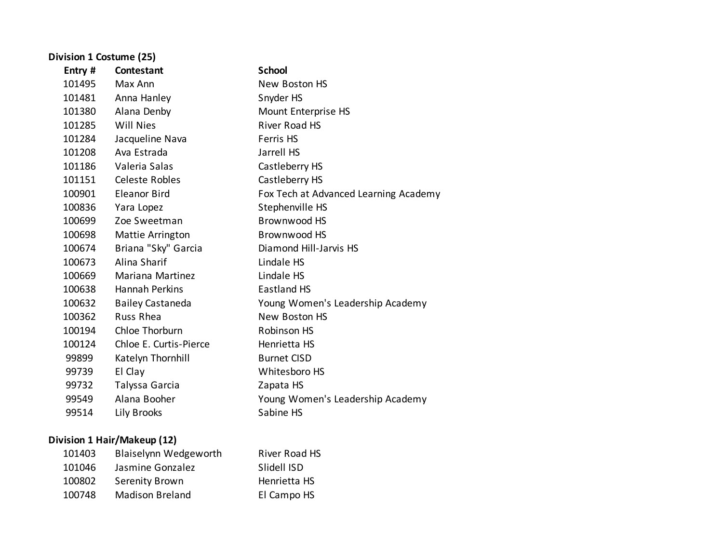| Division 1 Costume (25) |                         |                                       |
|-------------------------|-------------------------|---------------------------------------|
| Entry #                 | Contestant              | <b>School</b>                         |
| 101495                  | Max Ann                 | New Boston HS                         |
| 101481                  | Anna Hanley             | Snyder HS                             |
| 101380                  | Alana Denby             | Mount Enterprise HS                   |
| 101285                  | <b>Will Nies</b>        | River Road HS                         |
| 101284                  | Jacqueline Nava         | Ferris HS                             |
| 101208                  | Ava Estrada             | Jarrell HS                            |
| 101186                  | Valeria Salas           | Castleberry HS                        |
| 101151                  | Celeste Robles          | Castleberry HS                        |
| 100901                  | <b>Eleanor Bird</b>     | Fox Tech at Advanced Learning Academy |
| 100836                  | Yara Lopez              | Stephenville HS                       |
| 100699                  | Zoe Sweetman            | Brownwood HS                          |
| 100698                  | Mattie Arrington        | Brownwood HS                          |
| 100674                  | Briana "Sky" Garcia     | Diamond Hill-Jarvis HS                |
| 100673                  | Alina Sharif            | Lindale HS                            |
| 100669                  | <b>Mariana Martinez</b> | Lindale HS                            |
| 100638                  | <b>Hannah Perkins</b>   | <b>Eastland HS</b>                    |
| 100632                  | <b>Bailey Castaneda</b> | Young Women's Leadership Academy      |
| 100362                  | <b>Russ Rhea</b>        | New Boston HS                         |
| 100194                  | Chloe Thorburn          | <b>Robinson HS</b>                    |
| 100124                  | Chloe E. Curtis-Pierce  | Henrietta HS                          |
| 99899                   | Katelyn Thornhill       | <b>Burnet CISD</b>                    |
| 99739                   | El Clay                 | Whitesboro HS                         |
| 99732                   | Talyssa Garcia          | Zapata HS                             |
| 99549                   | Alana Booher            | Young Women's Leadership Academy      |
| 99514                   | Lily Brooks             | Sabine HS                             |

# **Division 1 Hair/Makeup (12)**

| 101403 | Blaiselynn Wedgeworth  | River Road HS |
|--------|------------------------|---------------|
| 101046 | Jasmine Gonzalez       | Slidell ISD   |
| 100802 | Serenity Brown         | Henrietta HS  |
| 100748 | <b>Madison Breland</b> | El Campo HS   |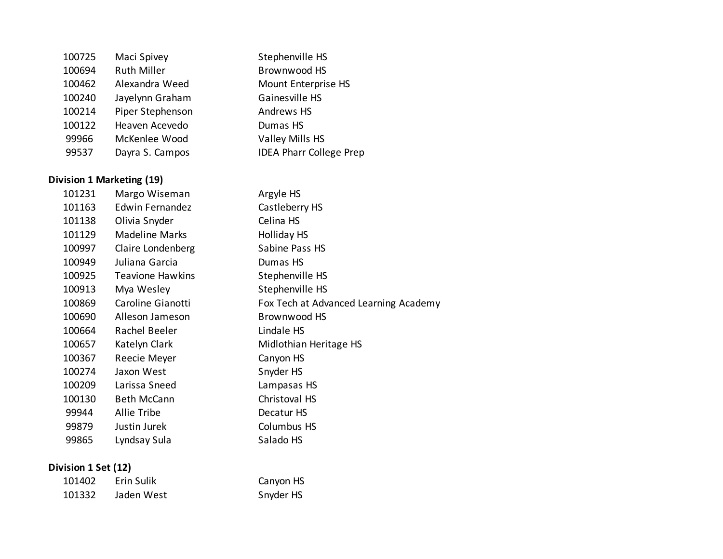| 100725 | Maci Spivey        | Stephenville HS                |
|--------|--------------------|--------------------------------|
| 100694 | <b>Ruth Miller</b> | Brownwood HS                   |
| 100462 | Alexandra Weed     | Mount Enterprise HS            |
| 100240 | Jayelynn Graham    | Gainesville HS                 |
| 100214 | Piper Stephenson   | Andrews HS                     |
| 100122 | Heaven Acevedo     | Dumas HS                       |
| 99966  | McKenlee Wood      | Valley Mills HS                |
| 99537  | Dayra S. Campos    | <b>IDEA Pharr College Prep</b> |

### **Division 1 Marketing (19)**

| 101231 | Margo Wiseman           | Argyle HS                             |
|--------|-------------------------|---------------------------------------|
| 101163 | Edwin Fernandez         | Castleberry HS                        |
| 101138 | Olivia Snyder           | Celina HS                             |
| 101129 | Madeline Marks          | Holliday HS                           |
| 100997 | Claire Londenberg       | Sabine Pass HS                        |
| 100949 | Juliana Garcia          | Dumas HS                              |
| 100925 | <b>Teavione Hawkins</b> | Stephenville HS                       |
| 100913 | Mya Wesley              | Stephenville HS                       |
| 100869 | Caroline Gianotti       | Fox Tech at Advanced Learning Academy |
| 100690 | Alleson Jameson         | Brownwood HS                          |
| 100664 | Rachel Beeler           | Lindale HS                            |
| 100657 | Katelyn Clark           | Midlothian Heritage HS                |
| 100367 | Reecie Meyer            | Canyon HS                             |
| 100274 | Jaxon West              | Snyder HS                             |
| 100209 | Larissa Sneed           | Lampasas HS                           |
| 100130 | <b>Beth McCann</b>      | Christoval HS                         |
| 99944  | Allie Tribe             | Decatur HS                            |
| 99879  | Justin Jurek            | Columbus HS                           |
| 99865  | Lyndsay Sula            | Salado HS                             |
|        |                         |                                       |

### **Division 1 Set (12)**

| 101402 | Erin Sulik | Canyon HS |
|--------|------------|-----------|
| 101332 | Jaden West | Snyder HS |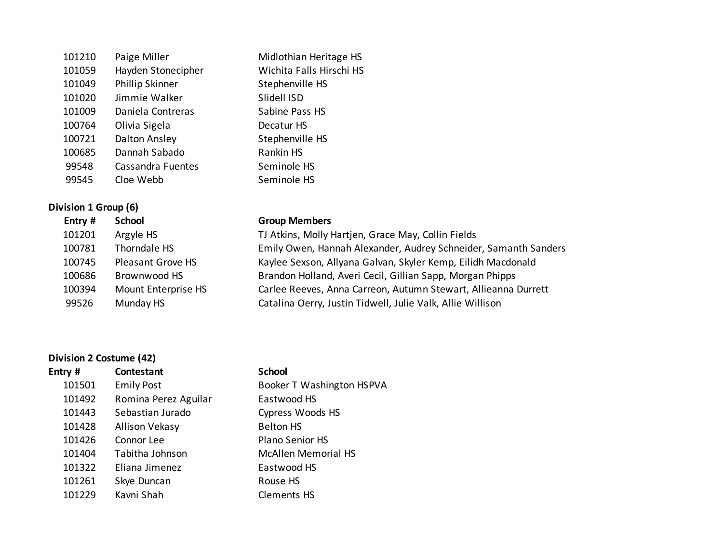| 101210 | Paige Miller       | Midlothian Heritage HS   |
|--------|--------------------|--------------------------|
| 101059 | Hayden Stonecipher | Wichita Falls Hirschi HS |
| 101049 | Phillip Skinner    | Stephenville HS          |
| 101020 | Jimmie Walker      | Slidell ISD              |
| 101009 | Daniela Contreras  | Sabine Pass HS           |
| 100764 | Olivia Sigela      | Decatur HS               |
| 100721 | Dalton Ansley      | Stephenville HS          |
| 100685 | Dannah Sabado      | Rankin HS                |
| 99548  | Cassandra Fuentes  | Seminole HS              |
| 99545  | Cloe Webb          | Seminole HS              |
|        |                    |                          |

### **Division 1 Group (6)**

| Entry # | <b>School</b>       | <b>Group Members</b>                                            |
|---------|---------------------|-----------------------------------------------------------------|
| 101201  | Argyle HS           | TJ Atkins, Molly Hartjen, Grace May, Collin Fields              |
| 100781  | Thorndale HS        | Emily Owen, Hannah Alexander, Audrey Schneider, Samanth Sanders |
| 100745  | Pleasant Grove HS   | Kaylee Sexson, Allyana Galvan, Skyler Kemp, Eilidh Macdonald    |
| 100686  | Brownwood HS        | Brandon Holland, Averi Cecil, Gillian Sapp, Morgan Phipps       |
| 100394  | Mount Enterprise HS | Carlee Reeves, Anna Carreon, Autumn Stewart, Allieanna Durrett  |
| 99526   | Munday HS           | Catalina Oerry, Justin Tidwell, Julie Valk, Allie Willison      |
|         |                     |                                                                 |

## **Division 2 Costume (42)**

| Entry # | <b>Contestant</b>    | <b>School</b>              |
|---------|----------------------|----------------------------|
| 101501  | <b>Emily Post</b>    | Booker T Washington HSPVA  |
| 101492  | Romina Perez Aguilar | Eastwood HS                |
| 101443  | Sebastian Jurado     | Cypress Woods HS           |
| 101428  | Allison Vekasy       | <b>Belton HS</b>           |
| 101426  | Connor Lee           | <b>Plano Senior HS</b>     |
| 101404  | Tabitha Johnson      | <b>McAllen Memorial HS</b> |
| 101322  | Eliana Jimenez       | Eastwood HS                |
| 101261  | Skye Duncan          | Rouse HS                   |
| 101229  | Kavni Shah           | <b>Clements HS</b>         |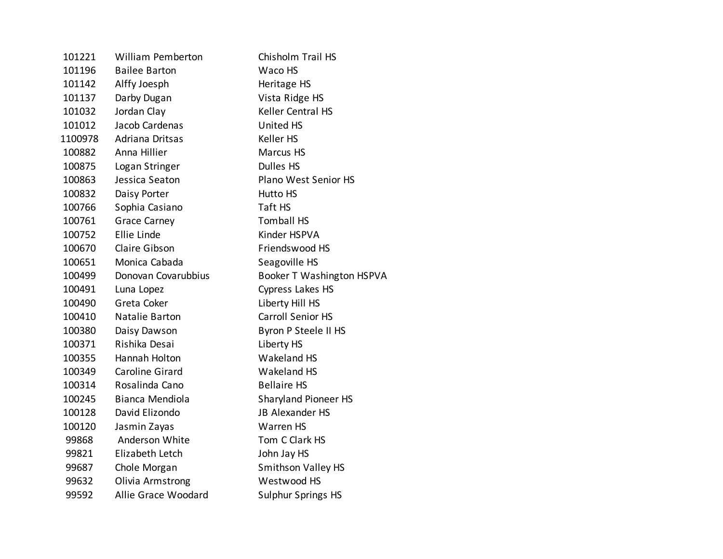| 101221  | <b>William Pemberton</b> | Chisholm Trail HS                |
|---------|--------------------------|----------------------------------|
| 101196  | <b>Bailee Barton</b>     | Waco HS                          |
| 101142  | Alffy Joesph             | Heritage HS                      |
| 101137  | Darby Dugan              | Vista Ridge HS                   |
| 101032  | Jordan Clay              | Keller Central HS                |
| 101012  | Jacob Cardenas           | <b>United HS</b>                 |
| 1100978 | Adriana Dritsas          | <b>Keller HS</b>                 |
| 100882  | Anna Hillier             | Marcus HS                        |
| 100875  | Logan Stringer           | <b>Dulles HS</b>                 |
| 100863  | Jessica Seaton           | Plano West Senior HS             |
| 100832  | Daisy Porter             | <b>Hutto HS</b>                  |
| 100766  | Sophia Casiano           | Taft HS                          |
| 100761  | <b>Grace Carney</b>      | <b>Tomball HS</b>                |
| 100752  | Ellie Linde              | Kinder HSPVA                     |
| 100670  | Claire Gibson            | Friendswood HS                   |
| 100651  | Monica Cabada            | Seagoville HS                    |
| 100499  | Donovan Covarubbius      | <b>Booker T Washington HSPVA</b> |
| 100491  | Luna Lopez               | Cypress Lakes HS                 |
| 100490  | Greta Coker              | Liberty Hill HS                  |
| 100410  | Natalie Barton           | <b>Carroll Senior HS</b>         |
| 100380  | Daisy Dawson             | Byron P Steele II HS             |
| 100371  | Rishika Desai            | Liberty HS                       |
| 100355  | Hannah Holton            | Wakeland HS                      |
| 100349  | Caroline Girard          | Wakeland HS                      |
| 100314  | Rosalinda Cano           | <b>Bellaire HS</b>               |
| 100245  | Bianca Mendiola          | <b>Sharyland Pioneer HS</b>      |
| 100128  | David Elizondo           | <b>JB Alexander HS</b>           |
| 100120  | Jasmin Zayas             | <b>Warren HS</b>                 |
| 99868   | Anderson White           | Tom C Clark HS                   |
| 99821   | Elizabeth Letch          | John Jay HS                      |
| 99687   | Chole Morgan             | Smithson Valley HS               |
| 99632   | Olivia Armstrong         | Westwood HS                      |
| 99592   | Allie Grace Woodard      | <b>Sulphur Springs HS</b>        |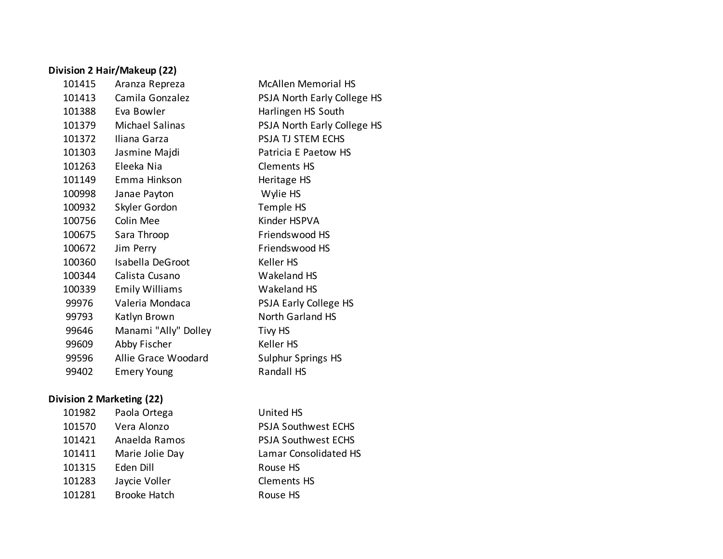### **Division 2 Hair/Makeup (22)**

| 101415 | Aranza Repreza        | <b>McAllen Memorial HS</b>  |
|--------|-----------------------|-----------------------------|
| 101413 | Camila Gonzalez       | PSJA North Early College HS |
| 101388 | Eva Bowler            | Harlingen HS South          |
| 101379 | Michael Salinas       | PSJA North Early College HS |
| 101372 | Iliana Garza          | PSJA TJ STEM ECHS           |
| 101303 | Jasmine Majdi         | Patricia E Paetow HS        |
| 101263 | Eleeka Nia            | <b>Clements HS</b>          |
| 101149 | Emma Hinkson          | Heritage HS                 |
| 100998 | Janae Payton          | Wylie HS                    |
| 100932 | Skyler Gordon         | Temple HS                   |
| 100756 | Colin Mee             | Kinder HSPVA                |
| 100675 | Sara Throop           | Friendswood HS              |
| 100672 | Jim Perry             | Friendswood HS              |
| 100360 | Isabella DeGroot      | Keller HS                   |
| 100344 | Calista Cusano        | Wakeland HS                 |
| 100339 | <b>Emily Williams</b> | Wakeland HS                 |
| 99976  | Valeria Mondaca       | PSJA Early College HS       |
| 99793  | Katlyn Brown          | North Garland HS            |
| 99646  | Manami "Ally" Dolley  | Tivy HS                     |
| 99609  | Abby Fischer          | Keller HS                   |
| 99596  | Allie Grace Woodard   | Sulphur Springs HS          |
| 99402  | <b>Emery Young</b>    | Randall HS                  |

### **Division 2 Marketing (22)**

| 101982 | Paola Ortega        | United HS                  |
|--------|---------------------|----------------------------|
| 101570 | Vera Alonzo         | <b>PSJA Southwest ECHS</b> |
| 101421 | Anaelda Ramos       | <b>PSJA Southwest ECHS</b> |
| 101411 | Marie Jolie Day     | Lamar Consolidated HS      |
| 101315 | Eden Dill           | Rouse HS                   |
| 101283 | Jaycie Voller       | <b>Clements HS</b>         |
| 101281 | <b>Brooke Hatch</b> | Rouse HS                   |
|        |                     |                            |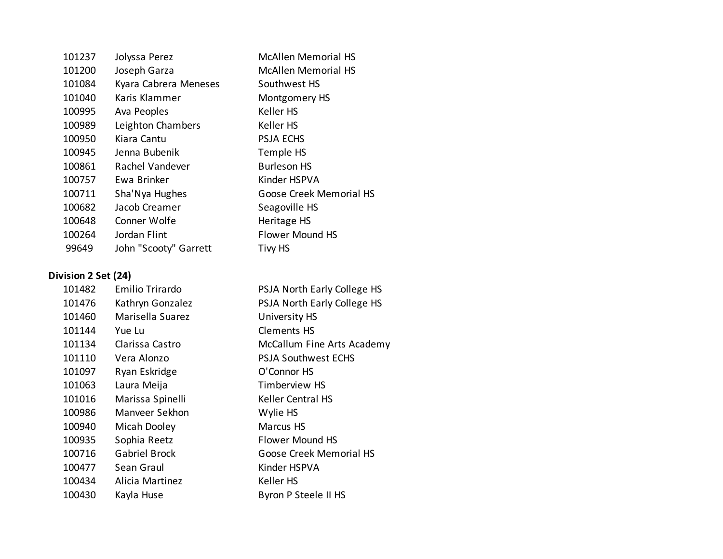| Jolyssa Perez         | <b>McAllen Memorial HS</b> |
|-----------------------|----------------------------|
| Joseph Garza          | <b>McAllen Memorial HS</b> |
| Kyara Cabrera Meneses | Southwest HS               |
| Karis Klammer         | Montgomery HS              |
| Ava Peoples           | Keller HS                  |
| Leighton Chambers     | Keller HS                  |
| Kiara Cantu           | <b>PSJA ECHS</b>           |
| Jenna Bubenik         | Temple HS                  |
| Rachel Vandever       | <b>Burleson HS</b>         |
| Ewa Brinker           | Kinder HSPVA               |
| Sha'Nya Hughes        | Goose Creek Memorial HS    |
| Jacob Creamer         | Seagoville HS              |
| Conner Wolfe          | Heritage HS                |
| Jordan Flint          | <b>Flower Mound HS</b>     |
| John "Scooty" Garrett | <b>Tivy HS</b>             |
|                       |                            |

# **Division 2 Set (24)**

| 101482 | Emilio Trirardo      | PSJA North Early College HS |
|--------|----------------------|-----------------------------|
| 101476 | Kathryn Gonzalez     | PSJA North Early College HS |
| 101460 | Marisella Suarez     | University HS               |
| 101144 | Yue Lu               | Clements HS                 |
| 101134 | Clarissa Castro      | McCallum Fine Arts Academy  |
| 101110 | Vera Alonzo          | <b>PSJA Southwest ECHS</b>  |
| 101097 | Ryan Eskridge        | O'Connor HS                 |
| 101063 | Laura Meija          | Timberview HS               |
| 101016 | Marissa Spinelli     | <b>Keller Central HS</b>    |
| 100986 | Manyeer Sekhon       | Wylie HS                    |
| 100940 | Micah Dooley         | <b>Marcus HS</b>            |
| 100935 | Sophia Reetz         | Flower Mound HS             |
| 100716 | <b>Gabriel Brock</b> | Goose Creek Memorial HS     |
| 100477 | Sean Graul           | Kinder HSPVA                |
| 100434 | Alicia Martinez      | Keller HS                   |
| 100430 | Kayla Huse           | Byron P Steele II HS        |
|        |                      |                             |